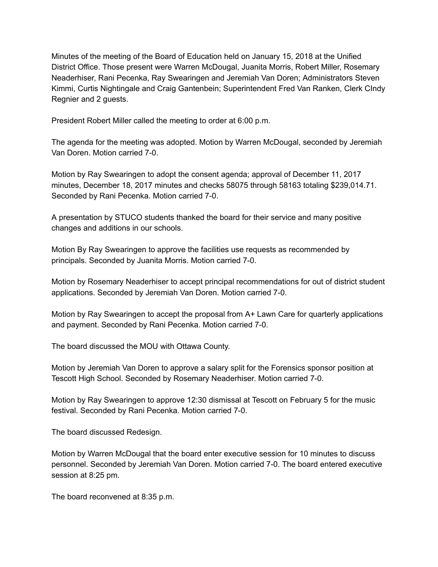Minutes of the meeting of the Board of Education held on January 15, 2018 at the Unified District Office. Those present were Warren McDougal, Juanita Morris, Robert Miller, Rosemary Neaderhiser, Rani Pecenka, Ray Swearingen and Jeremiah Van Doren; Administrators Steven Kimmi, Curtis Nightingale and Craig Gantenbein; Superintendent Fred Van Ranken, Clerk CIndy Regnier and 2 guests.

President Robert Miller called the meeting to order at 6:00 p.m.

The agenda for the meeting was adopted. Motion by Warren McDougal, seconded by Jeremiah Van Doren. Motion carried 7-0.

Motion by Ray Swearingen to adopt the consent agenda; approval of December 11, 2017 minutes, December 18, 2017 minutes and checks 58075 through 58163 totaling \$239,014.71. Seconded by Rani Pecenka. Motion carried 7-0.

A presentation by STUCO students thanked the board for their service and many positive changes and additions in our schools.

Motion By Ray Swearingen to approve the facilities use requests as recommended by principals. Seconded by Juanita Morris. Motion carried 7-0.

Motion by Rosemary Neaderhiser to accept principal recommendations for out of district student applications. Seconded by Jeremiah Van Doren. Motion carried 7-0.

Motion by Ray Swearingen to accept the proposal from A+ Lawn Care for quarterly applications and payment. Seconded by Rani Pecenka. Motion carried 7-0.

The board discussed the MOU with Ottawa County.

Motion by Jeremiah Van Doren to approve a salary split for the Forensics sponsor position at Tescott High School. Seconded by Rosemary Neaderhiser. Motion carried 7-0.

Motion by Ray Swearingen to approve 12:30 dismissal at Tescott on February 5 for the music festival. Seconded by Rani Pecenka. Motion carried 7-0.

The board discussed Redesign.

Motion by Warren McDougal that the board enter executive session for 10 minutes to discuss personnel. Seconded by Jeremiah Van Doren. Motion carried 7-0. The board entered executive session at 8:25 pm.

The board reconvened at 8:35 p.m.